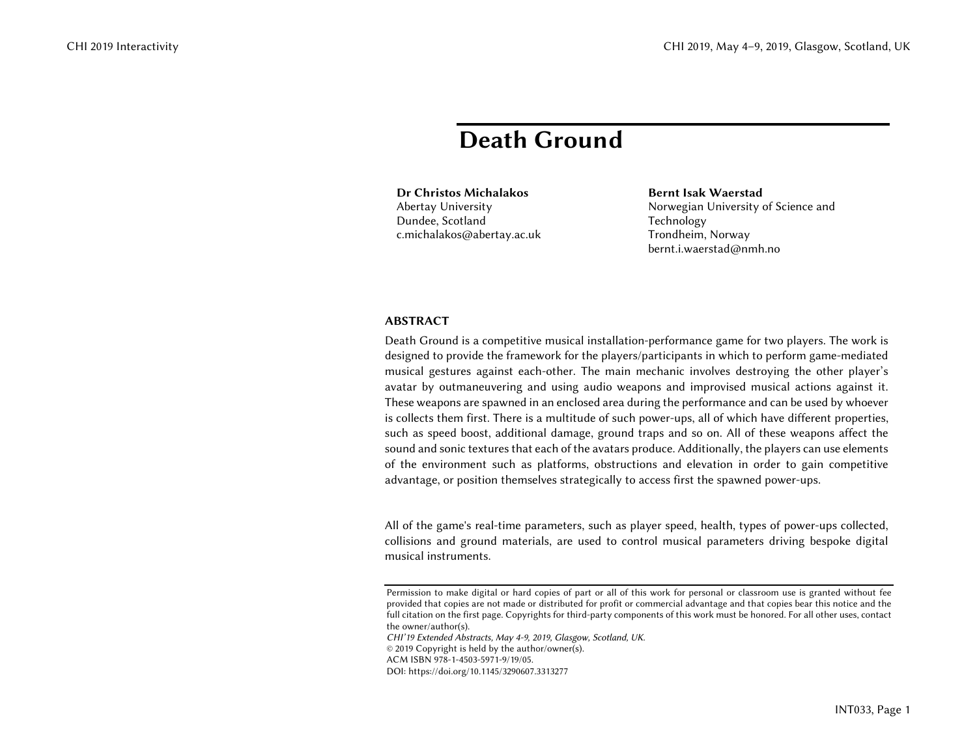## Death Ground

Dr Christos MichalakosAbertay University Dundee, Scotland c.michalakos@abertay.ac.uk Bernt Isak WaerstadNorwegian University of Science and Technology Trondheim, Norway bernt.i.waerstad@nmh.no

## ABSTRACT

Death Ground is a competitive musical installation-performance game for two players. The work is designed to provide the framework for the players/participants in which to perform game-mediated musical gestures against each-other. The main mechanic involves destroying the other player's avatar by outmaneuvering and using audio weapons and improvised musical actions against it. These weapons are spawned in an enclosed area during the performance and can be used by whoever is collects them first. There is a multitude of such power-ups, all of which have different properties, such as speed boost, additional damage, ground traps and so on. All of these weapons affect the sound and sonic textures that each of the avatars produce. Additionally, the players can use elements of the environment such as platforms, obstructions and elevation in order to gain competitive advantage, or position themselves strategically to access first the spawned power-ups.

All of the game's real-time parameters, such as player speed, health, types of power-ups collected, collisions and ground materials, are used to control musical parameters driving bespoke digital musical instruments.

*CHI'19 Extended Abstracts, May 4-9, 2019, Glasgow, Scotland, UK.* 

© 2019 Copyright is held by the author/owner(s).

ACM ISBN 978-1-4503-5971-9/19/05.

DOI: https://doi.org/10.1145/3290607.3313277

Permission to make digital or hard copies of part or all of this work for personal or classroom use is granted without fee provided that copies are not made or distributed for profit or commercial advantage and that copies bear this notice and the full citation on the first page. Copyrights for third-party components of this work must be honored. For all other uses, contact the owner/author(s).